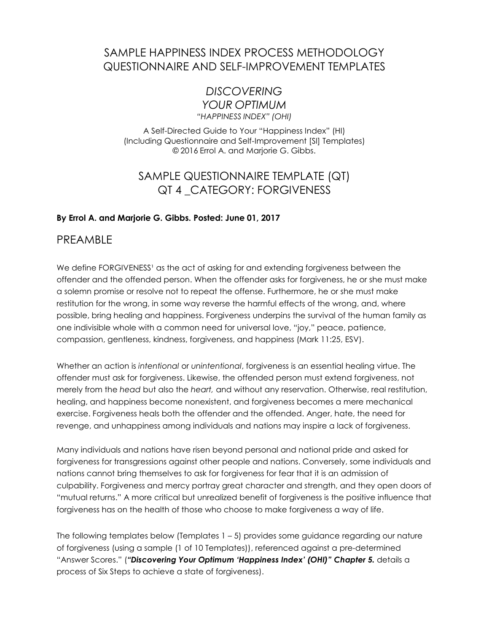### SAMPLE HAPPINESS INDEX PROCESS METHODOLOGY QUESTIONNAIRE AND SELF-IMPROVEMENT TEMPLATES

### *DISCOVERING YOUR OPTIMUM*

*"HAPPINESS INDEX" (OHI)*

A Self-Directed Guide to Your "Happiness Index" (HI) (Including Questionnaire and Self-Improvement [SI] Templates) © 2016 Errol A. and Marjorie G. Gibbs.

## SAMPLE QUESTIONNAIRE TEMPLATE (QT) QT 4 \_CATEGORY: FORGIVENESS

### **By Errol A. and Marjorie G. Gibbs. Posted: June 01, 2017**

### PREAMBLE

We define FORGIVENESS<sup>1</sup> as the act of asking for and extending forgiveness between the offender and the offended person. When the offender asks for forgiveness, he or she must make a solemn promise or resolve not to repeat the offense. Furthermore, he or she must make restitution for the wrong, in some way reverse the harmful effects of the wrong, and, where possible, bring healing and happiness. Forgiveness underpins the survival of the human family as one indivisible whole with a common need for universal love, "joy," peace, patience, compassion, gentleness, kindness, forgiveness, and happiness (Mark 11:25, ESV).

Whether an action is *intentional* or *unintentional*, forgiveness is an essential healing virtue. The offender must ask for forgiveness. Likewise, the offended person must extend forgiveness, not merely from the *head* but also the *heart,* and without any reservation. Otherwise, real restitution, healing, and happiness become nonexistent, and forgiveness becomes a mere mechanical exercise. Forgiveness heals both the offender and the offended. Anger, hate, the need for revenge, and unhappiness among individuals and nations may inspire a lack of forgiveness.

Many individuals and nations have risen beyond personal and national pride and asked for forgiveness for transgressions against other people and nations. Conversely, some individuals and nations cannot bring themselves to ask for forgiveness for fear that it is an admission of culpability. Forgiveness and mercy portray great character and strength, and they open doors of "mutual returns." A more critical but unrealized benefit of forgiveness is the positive influence that forgiveness has on the health of those who choose to make forgiveness a way of life.

The following templates below (Templates  $1 - 5$ ) provides some guidance regarding our nature of forgiveness (using a sample (1 of 10 Templates)), referenced against a pre-determined "Answer Scores." (*"Discovering Your Optimum 'Happiness Index' (OHI)" Chapter 5.* details a process of Six Steps to achieve a state of forgiveness).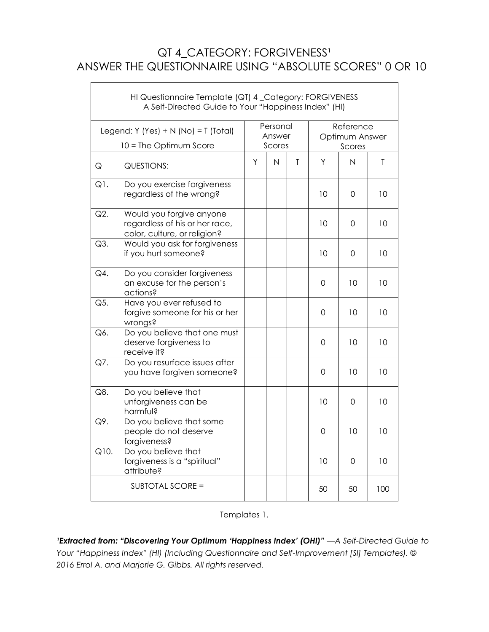## QT 4\_CATEGORY: FORGIVENESS<sup>1</sup> ANSWER THE QUESTIONNAIRE USING "ABSOLUTE SCORES" 0 OR 10

 $\Gamma$ 

|                                                                | HI Questionnaire Template (QT) 4_Category: FORGIVENESS<br>A Self-Directed Guide to Your "Happiness Index" (HI) |   |                              |   |                                       |                         |     |
|----------------------------------------------------------------|----------------------------------------------------------------------------------------------------------------|---|------------------------------|---|---------------------------------------|-------------------------|-----|
| Legend: Y (Yes) + N (No) = T (Total)<br>10 = The Optimum Score |                                                                                                                |   | Personal<br>Answer<br>Scores |   | Reference<br>Optimum Answer<br>Scores |                         |     |
| Q                                                              | <b>QUESTIONS:</b>                                                                                              | Y | $\overline{N}$               | T | Y                                     | $\overline{\mathsf{N}}$ | T   |
| Q1.                                                            | Do you exercise forgiveness<br>regardless of the wrong?                                                        |   |                              |   | 10                                    | 0                       | 10  |
| $Q2$ .                                                         | Would you forgive anyone<br>regardless of his or her race,<br>color, culture, or religion?                     |   |                              |   | 10                                    | 0                       | 10  |
| Q3.                                                            | Would you ask for forgiveness<br>if you hurt someone?                                                          |   |                              |   | 10                                    | 0                       | 10  |
| Q4.                                                            | Do you consider forgiveness<br>an excuse for the person's<br>actions?                                          |   |                              |   | 0                                     | 10                      | 10  |
| Q5.                                                            | Have you ever refused to<br>forgive someone for his or her<br>wrongs?                                          |   |                              |   | 0                                     | 10                      | 10  |
| Q6.                                                            | Do you believe that one must<br>deserve forgiveness to<br>receive it?                                          |   |                              |   | $\mathbf 0$                           | 10                      | 10  |
| Q7.                                                            | Do you resurface issues after<br>you have forgiven someone?                                                    |   |                              |   | 0                                     | 10                      | 10  |
| Q8.                                                            | Do you believe that<br>unforgiveness can be<br>harmful?                                                        |   |                              |   | 10                                    | $\mathbf 0$             | 10  |
| Q9.                                                            | Do you believe that some<br>people do not deserve<br>forgiveness?                                              |   |                              |   | 0                                     | 10                      | 10  |
| $\overline{Q}10.$                                              | Do you believe that<br>forgiveness is a "spiritual"<br>attribute?                                              |   |                              |   | 10                                    | 0                       | 10  |
| SUBTOTAL SCORE =                                               |                                                                                                                |   |                              |   | 50                                    | 50                      | 100 |

#### Templates 1.

*'Extracted from: "Discovering Your Optimum 'Happiness Index' (OHI)"*  $-A$  *Self-Directed Guide to Your "Happiness Index" (HI) (Including Questionnaire and Self-Improvement [SI] Templates). © 2016 Errol A. and Marjorie G. Gibbs. All rights reserved.*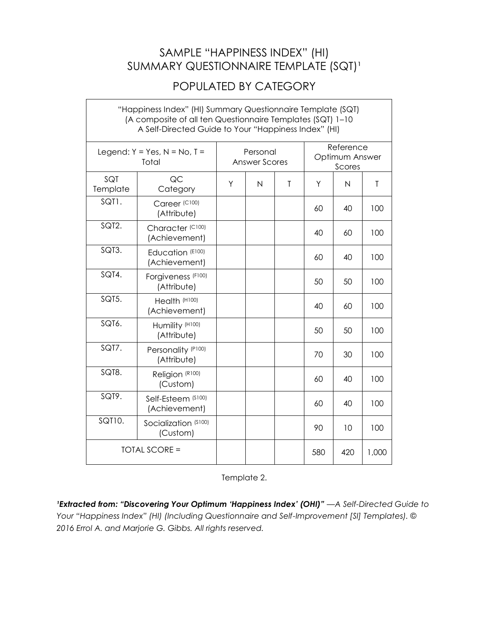### SAMPLE "HAPPINESS INDEX" (HI) SUMMARY QUESTIONNAIRE TEMPLATE (SQT)<sup>1</sup>

## POPULATED BY CATEGORY

٦

 $\mathsf{L}$ 

| "Happiness Index" (HI) Summary Questionnaire Template (SQT)<br>(A composite of all ten Questionnaire Templates (SQT) 1-10<br>A Self-Directed Guide to Your "Happiness Index" (HI) |                                      |   |                                  |              |                                       |                |              |
|-----------------------------------------------------------------------------------------------------------------------------------------------------------------------------------|--------------------------------------|---|----------------------------------|--------------|---------------------------------------|----------------|--------------|
| Legend: $Y = Yes$ , $N = No$ , $T =$<br>Total                                                                                                                                     |                                      |   | Personal<br><b>Answer Scores</b> |              | Reference<br>Optimum Answer<br>Scores |                |              |
| SQT<br>Template                                                                                                                                                                   | QC<br>Category                       | Υ | N                                | $\mathsf{T}$ | Υ                                     | $\overline{N}$ | $\mathsf{T}$ |
| SQT1.                                                                                                                                                                             | Career (C100)<br>(Attribute)         |   |                                  |              | 60                                    | 40             | 100          |
| SQT2.                                                                                                                                                                             | Character (C100)<br>(Achievement)    |   |                                  |              | 40                                    | 60             | 100          |
| SQT3.                                                                                                                                                                             | Education (E100)<br>(Achievement)    |   |                                  |              | 60                                    | 40             | 100          |
| SQT4.                                                                                                                                                                             | Forgiveness (F100)<br>(Attribute)    |   |                                  |              | 50                                    | 50             | 100          |
| SQT5.                                                                                                                                                                             | Health (H100)<br>(Achievement)       |   |                                  |              | 40                                    | 60             | 100          |
| SQT6.                                                                                                                                                                             | Humility (H100)<br>(Attribute)       |   |                                  |              | 50                                    | 50             | 100          |
| SQT7.                                                                                                                                                                             | Personality (P100)<br>(Attribute)    |   |                                  |              | 70                                    | 30             | 100          |
| SQT8.                                                                                                                                                                             | Religion (R100)<br>(Custom)          |   |                                  |              | 60                                    | 40             | 100          |
| SQT9.                                                                                                                                                                             | Self-Esteem (\$100)<br>(Achievement) |   |                                  |              | 60                                    | 40             | 100          |
| SQT10.                                                                                                                                                                            | Socialization (\$100)<br>(Custom)    |   |                                  |              | 90                                    | 10             | 100          |
| <b>TOTAL SCORE =</b>                                                                                                                                                              |                                      |   |                                  |              | 580                                   | 420            | 1,000        |

Template 2.

*lExtracted from: "Discovering Your Optimum 'Happiness Index' (OHI)" - A Self-Directed Guide to Your "Happiness Index" (HI) (Including Questionnaire and Self-Improvement [SI] Templates). © 2016 Errol A. and Marjorie G. Gibbs. All rights reserved.*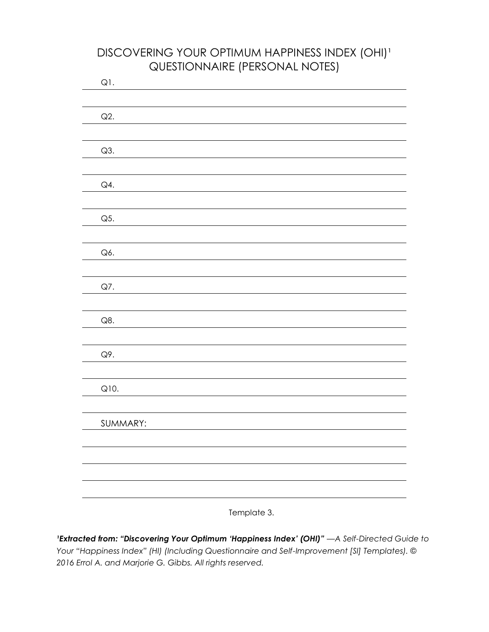## DISCOVERING YOUR OPTIMUM HAPPINESS INDEX (OHI)<sup>1</sup> QUESTIONNAIRE (PERSONAL NOTES)

| Q1.            |  |  |
|----------------|--|--|
|                |  |  |
| Q2.            |  |  |
|                |  |  |
|                |  |  |
| $Q3$ .         |  |  |
|                |  |  |
| Q4.            |  |  |
|                |  |  |
| Q5.            |  |  |
|                |  |  |
|                |  |  |
| Q6.            |  |  |
|                |  |  |
| Q7.            |  |  |
|                |  |  |
|                |  |  |
| $\mathsf{Q8}.$ |  |  |
|                |  |  |
| Q9.            |  |  |
|                |  |  |
| Q10.           |  |  |
|                |  |  |
|                |  |  |
| SUMMARY:       |  |  |
|                |  |  |
|                |  |  |
|                |  |  |
|                |  |  |
|                |  |  |
|                |  |  |

Template 3.

*lExtracted from: "Discovering Your Optimum 'Happiness Index' (OHI)"*  $-A$  *Self-Directed Guide to Your "Happiness Index" (HI) (Including Questionnaire and Self-Improvement [SI] Templates). © 2016 Errol A. and Marjorie G. Gibbs. All rights reserved.*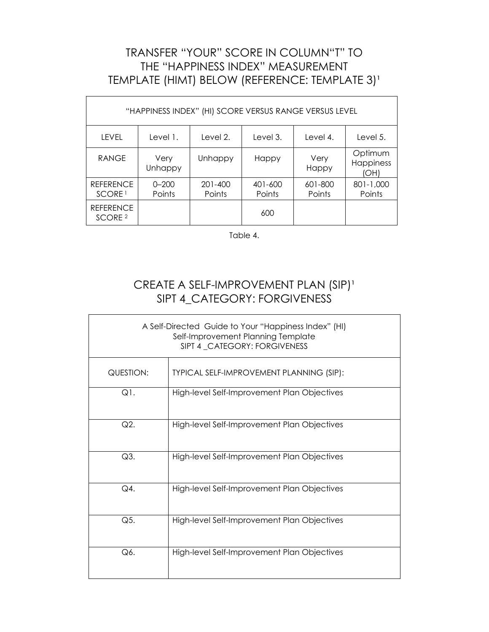# TRANSFER "YOUR" SCORE IN COLUMN"T" TO THE "HAPPINESS INDEX" MEASUREMENT TEMPLATE (HIMT) BELOW (REFERENCE: TEMPLATE 3)<sup>1</sup>

 $\mathsf{r}$ 

| "HAPPINESS INDEX" (HI) SCORE VERSUS RANGE VERSUS LEVEL |                     |                   |                   |                   |                              |
|--------------------------------------------------------|---------------------|-------------------|-------------------|-------------------|------------------------------|
| LEVEL                                                  | Level 1.            | Level 2.          | Level 3.          | Level 4.          | Level 5.                     |
| <b>RANGE</b>                                           | Very<br>Unhappy     | Unhappy           | Happy             | Very<br>Happy     | Optimum<br>Happiness<br>(OH) |
| <b>REFERENCE</b><br>SCORE <sup>1</sup>                 | $0 - 200$<br>Points | 201-400<br>Points | 401-600<br>Points | 601-800<br>Points | 801-1,000<br>Points          |
| <b>REFERENCE</b><br>SCORE <sub>2</sub>                 |                     |                   | 600               |                   |                              |

Table 4.

## CREATE A SELF-IMPROVEMENT PLAN (SIP)<sup>1</sup> SIPT 4\_CATEGORY: FORGIVENESS

| A Self-Directed Guide to Your "Happiness Index" (HI)<br>Self-Improvement Planning Template<br>SIPT 4_CATEGORY: FORGIVENESS |                                             |  |  |  |
|----------------------------------------------------------------------------------------------------------------------------|---------------------------------------------|--|--|--|
| QUESTION:                                                                                                                  | TYPICAL SELF-IMPROVEMENT PLANNING (SIP):    |  |  |  |
| $Q1$ .                                                                                                                     | High-level Self-Improvement Plan Objectives |  |  |  |
| Q2.                                                                                                                        | High-level Self-Improvement Plan Objectives |  |  |  |
| Q3.                                                                                                                        | High-level Self-Improvement Plan Objectives |  |  |  |
| Q4.                                                                                                                        | High-level Self-Improvement Plan Objectives |  |  |  |
| Q5.                                                                                                                        | High-level Self-Improvement Plan Objectives |  |  |  |
| Q6.                                                                                                                        | High-level Self-Improvement Plan Objectives |  |  |  |